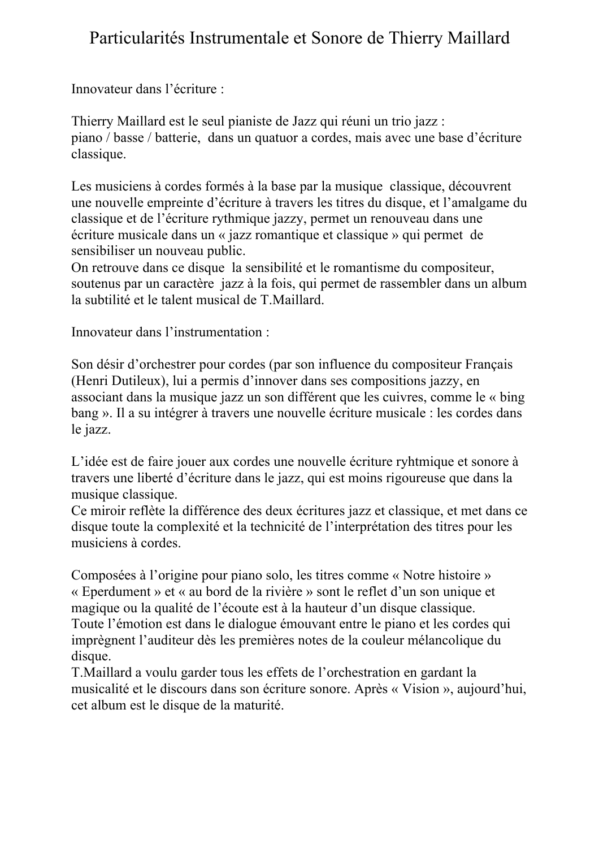## Particularités Instrumentale et Sonore de Thierry Maillard

Innovateur dans l'écriture :

Thierry Maillard est le seul pianiste de Jazz qui réuni un trio jazz : piano / basse / batterie, dans un quatuor a cordes, mais avec une base d'écriture classique.

Les musiciens à cordes formés à la base par la musique classique, découvrent une nouvelle empreinte d'écriture à travers les titres du disque, et l'amalgame du classique et de l'écriture rythmique jazzy, permet un renouveau dans une écriture musicale dans un « jazz romantique et classique » qui permet de sensibiliser un nouveau public.

On retrouve dans ce disque la sensibilité et le romantisme du compositeur, soutenus par un caractère jazz à la fois, qui permet de rassembler dans un album la subtilité et le talent musical de T.Maillard.

Innovateur dans l'instrumentation :

Son désir d'orchestrer pour cordes (par son influence du compositeur Français (Henri Dutileux), lui a permis d'innover dans ses compositions jazzy, en associant dans la musique jazz un son différent que les cuivres, comme le « bing bang ». Il a su intégrer à travers une nouvelle écriture musicale : les cordes dans le jazz.

L'idée est de faire jouer aux cordes une nouvelle écriture ryhtmique et sonore à travers une liberté d'écriture dans le jazz, qui est moins rigoureuse que dans la musique classique.

Ce miroir reflète la différence des deux écritures jazz et classique, et met dans ce disque toute la complexité et la technicité de l'interprétation des titres pour les musiciens à cordes.

Composées à l'origine pour piano solo, les titres comme « Notre histoire » « Eperdument » et « au bord de la rivière » sont le reflet d'un son unique et magique ou la qualité de l'écoute est à la hauteur d'un disque classique. Toute l'émotion est dans le dialogue émouvant entre le piano et les cordes qui imprègnent l'auditeur dès les premières notes de la couleur mélancolique du disque.

T.Maillard a voulu garder tous les effets de l'orchestration en gardant la musicalité et le discours dans son écriture sonore. Après « Vision », aujourd'hui, cet album est le disque de la maturité.